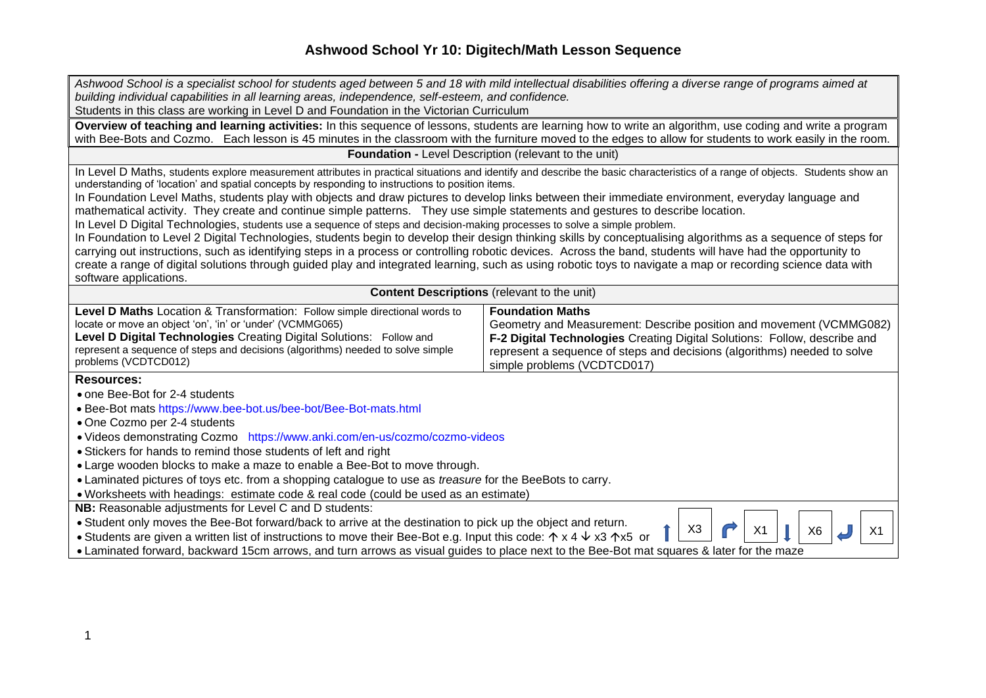| Ashwood School is a specialist school for students aged between 5 and 18 with mild intellectual disabilities offering a diverse range of programs aimed at                                                                                                                                                                   |                                                                           |  |  |
|------------------------------------------------------------------------------------------------------------------------------------------------------------------------------------------------------------------------------------------------------------------------------------------------------------------------------|---------------------------------------------------------------------------|--|--|
| building individual capabilities in all learning areas, independence, self-esteem, and confidence.                                                                                                                                                                                                                           |                                                                           |  |  |
| Students in this class are working in Level D and Foundation in the Victorian Curriculum                                                                                                                                                                                                                                     |                                                                           |  |  |
| Overview of teaching and learning activities: In this sequence of lessons, students are learning how to write an algorithm, use coding and write a program                                                                                                                                                                   |                                                                           |  |  |
| with Bee-Bots and Cozmo. Each lesson is 45 minutes in the classroom with the furniture moved to the edges to allow for students to work easily in the room.                                                                                                                                                                  |                                                                           |  |  |
| <b>Foundation - Level Description (relevant to the unit)</b>                                                                                                                                                                                                                                                                 |                                                                           |  |  |
| In Level D Maths, students explore measurement attributes in practical situations and identify and describe the basic characteristics of a range of objects. Students show an                                                                                                                                                |                                                                           |  |  |
| understanding of 'location' and spatial concepts by responding to instructions to position items.                                                                                                                                                                                                                            |                                                                           |  |  |
| In Foundation Level Maths, students play with objects and draw pictures to develop links between their immediate environment, everyday language and                                                                                                                                                                          |                                                                           |  |  |
| mathematical activity. They create and continue simple patterns. They use simple statements and gestures to describe location.                                                                                                                                                                                               |                                                                           |  |  |
| In Level D Digital Technologies, students use a sequence of steps and decision-making processes to solve a simple problem.                                                                                                                                                                                                   |                                                                           |  |  |
| In Foundation to Level 2 Digital Technologies, students begin to develop their design thinking skills by conceptualising algorithms as a sequence of steps for                                                                                                                                                               |                                                                           |  |  |
| carrying out instructions, such as identifying steps in a process or controlling robotic devices. Across the band, students will have had the opportunity to<br>create a range of digital solutions through guided play and integrated learning, such as using robotic toys to navigate a map or recording science data with |                                                                           |  |  |
| software applications.                                                                                                                                                                                                                                                                                                       |                                                                           |  |  |
| <b>Content Descriptions</b> (relevant to the unit)                                                                                                                                                                                                                                                                           |                                                                           |  |  |
| Level D Maths Location & Transformation: Follow simple directional words to                                                                                                                                                                                                                                                  | <b>Foundation Maths</b>                                                   |  |  |
| locate or move an object 'on', 'in' or 'under' (VCMMG065)                                                                                                                                                                                                                                                                    | Geometry and Measurement: Describe position and movement (VCMMG082)       |  |  |
| Level D Digital Technologies Creating Digital Solutions: Follow and                                                                                                                                                                                                                                                          | F-2 Digital Technologies Creating Digital Solutions: Follow, describe and |  |  |
| represent a sequence of steps and decisions (algorithms) needed to solve simple                                                                                                                                                                                                                                              | represent a sequence of steps and decisions (algorithms) needed to solve  |  |  |
| problems (VCDTCD012)                                                                                                                                                                                                                                                                                                         | simple problems (VCDTCD017)                                               |  |  |
| <b>Resources:</b>                                                                                                                                                                                                                                                                                                            |                                                                           |  |  |
| • one Bee-Bot for 2-4 students                                                                                                                                                                                                                                                                                               |                                                                           |  |  |
| • Bee-Bot mats https://www.bee-bot.us/bee-bot/Bee-Bot-mats.html                                                                                                                                                                                                                                                              |                                                                           |  |  |
| • One Cozmo per 2-4 students                                                                                                                                                                                                                                                                                                 |                                                                           |  |  |
| • Videos demonstrating Cozmo https://www.anki.com/en-us/cozmo/cozmo-videos                                                                                                                                                                                                                                                   |                                                                           |  |  |
| • Stickers for hands to remind those students of left and right                                                                                                                                                                                                                                                              |                                                                           |  |  |
| • Large wooden blocks to make a maze to enable a Bee-Bot to move through.                                                                                                                                                                                                                                                    |                                                                           |  |  |
| • Laminated pictures of toys etc. from a shopping catalogue to use as <i>treasure</i> for the BeeBots to carry.                                                                                                                                                                                                              |                                                                           |  |  |
| · Worksheets with headings: estimate code & real code (could be used as an estimate)                                                                                                                                                                                                                                         |                                                                           |  |  |
| NB: Reasonable adjustments for Level C and D students:                                                                                                                                                                                                                                                                       |                                                                           |  |  |
| . Student only moves the Bee-Bot forward/back to arrive at the destination to pick up the object and return.<br>X <sub>3</sub><br>X1<br>X <sub>1</sub><br>X <sub>6</sub>                                                                                                                                                     |                                                                           |  |  |
| • Students are given a written list of instructions to move their Bee-Bot e.g. Input this code: $\uparrow x 4 \downarrow x 3 \uparrow x 5$ or                                                                                                                                                                                |                                                                           |  |  |
| • Laminated forward, backward 15cm arrows, and turn arrows as visual guides to place next to the Bee-Bot mat squares & later for the maze                                                                                                                                                                                    |                                                                           |  |  |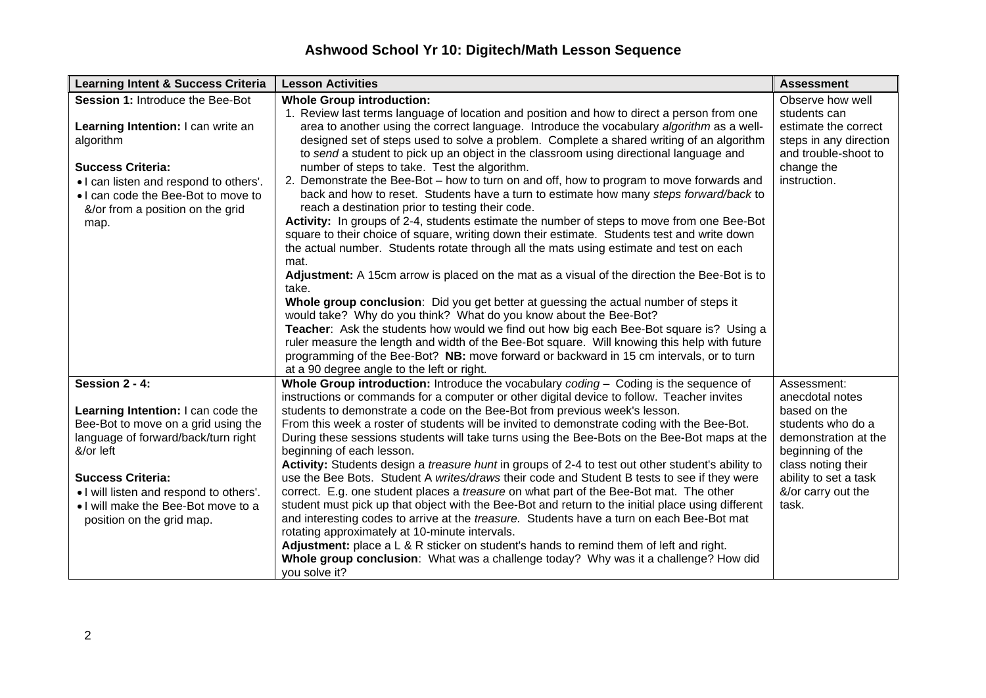| <b>Learning Intent &amp; Success Criteria</b> | <b>Lesson Activities</b>                                                                                                                                     | <b>Assessment</b>      |
|-----------------------------------------------|--------------------------------------------------------------------------------------------------------------------------------------------------------------|------------------------|
| Session 1: Introduce the Bee-Bot              | <b>Whole Group introduction:</b>                                                                                                                             | Observe how well       |
|                                               | 1. Review last terms language of location and position and how to direct a person from one                                                                   | students can           |
| Learning Intention: I can write an            | area to another using the correct language. Introduce the vocabulary algorithm as a well-                                                                    | estimate the correct   |
| algorithm                                     | designed set of steps used to solve a problem. Complete a shared writing of an algorithm                                                                     | steps in any direction |
|                                               | to send a student to pick up an object in the classroom using directional language and                                                                       | and trouble-shoot to   |
| <b>Success Criteria:</b>                      | number of steps to take. Test the algorithm.                                                                                                                 | change the             |
| . I can listen and respond to others'.        | 2. Demonstrate the Bee-Bot – how to turn on and off, how to program to move forwards and                                                                     | instruction.           |
| . I can code the Bee-Bot to move to           | back and how to reset. Students have a turn to estimate how many steps forward/back to                                                                       |                        |
| &/or from a position on the grid              | reach a destination prior to testing their code.                                                                                                             |                        |
| map.                                          | Activity: In groups of 2-4, students estimate the number of steps to move from one Bee-Bot                                                                   |                        |
|                                               | square to their choice of square, writing down their estimate. Students test and write down                                                                  |                        |
|                                               | the actual number. Students rotate through all the mats using estimate and test on each                                                                      |                        |
|                                               | mat.                                                                                                                                                         |                        |
|                                               | Adjustment: A 15cm arrow is placed on the mat as a visual of the direction the Bee-Bot is to                                                                 |                        |
|                                               | take.                                                                                                                                                        |                        |
|                                               | Whole group conclusion: Did you get better at guessing the actual number of steps it                                                                         |                        |
|                                               | would take? Why do you think? What do you know about the Bee-Bot?<br>Teacher: Ask the students how would we find out how big each Bee-Bot square is? Using a |                        |
|                                               | ruler measure the length and width of the Bee-Bot square. Will knowing this help with future                                                                 |                        |
|                                               | programming of the Bee-Bot? NB: move forward or backward in 15 cm intervals, or to turn                                                                      |                        |
|                                               | at a 90 degree angle to the left or right.                                                                                                                   |                        |
| Session 2 - 4:                                | Whole Group introduction: Introduce the vocabulary coding - Coding is the sequence of                                                                        | Assessment:            |
|                                               | instructions or commands for a computer or other digital device to follow. Teacher invites                                                                   | anecdotal notes        |
| Learning Intention: I can code the            | students to demonstrate a code on the Bee-Bot from previous week's lesson.                                                                                   | based on the           |
| Bee-Bot to move on a grid using the           | From this week a roster of students will be invited to demonstrate coding with the Bee-Bot.                                                                  | students who do a      |
| language of forward/back/turn right           | During these sessions students will take turns using the Bee-Bots on the Bee-Bot maps at the                                                                 | demonstration at the   |
| &/or left                                     | beginning of each lesson.                                                                                                                                    | beginning of the       |
|                                               | Activity: Students design a treasure hunt in groups of 2-4 to test out other student's ability to                                                            | class noting their     |
| <b>Success Criteria:</b>                      | use the Bee Bots. Student A writes/draws their code and Student B tests to see if they were                                                                  | ability to set a task  |
| . I will listen and respond to others'.       | correct. E.g. one student places a <i>treasure</i> on what part of the Bee-Bot mat. The other                                                                | &/or carry out the     |
| . I will make the Bee-Bot move to a           | student must pick up that object with the Bee-Bot and return to the initial place using different                                                            | task.                  |
| position on the grid map.                     | and interesting codes to arrive at the treasure. Students have a turn on each Bee-Bot mat                                                                    |                        |
|                                               | rotating approximately at 10-minute intervals.                                                                                                               |                        |
|                                               | Adjustment: place a $L \& R$ sticker on student's hands to remind them of left and right.                                                                    |                        |
|                                               | Whole group conclusion: What was a challenge today? Why was it a challenge? How did                                                                          |                        |
|                                               | you solve it?                                                                                                                                                |                        |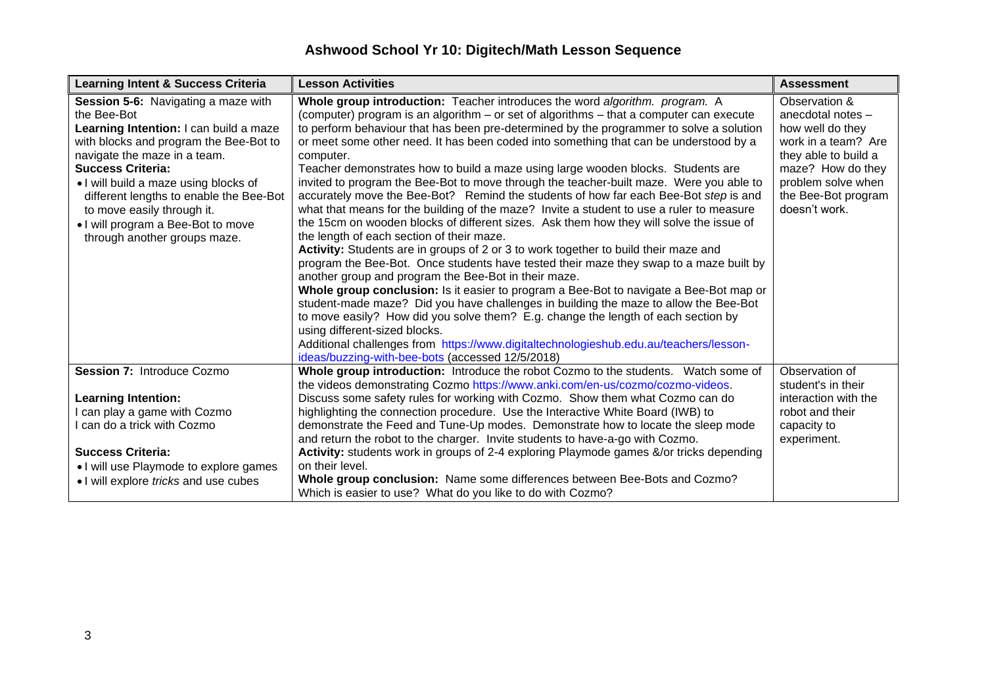| <b>Learning Intent &amp; Success Criteria</b>                                                                                                                                                                                                                                                                                                                                                     | <b>Lesson Activities</b>                                                                                                                                                                                                                                                                                                                                                                                                                                                                                                                                                                                                                                                                                                                                                                                                                                                                                                                                                                                                                                                                                                                                                                                                                                                                                                                                                                                                                                                                                                                                                         | <b>Assessment</b>                                                                                                                                                                        |
|---------------------------------------------------------------------------------------------------------------------------------------------------------------------------------------------------------------------------------------------------------------------------------------------------------------------------------------------------------------------------------------------------|----------------------------------------------------------------------------------------------------------------------------------------------------------------------------------------------------------------------------------------------------------------------------------------------------------------------------------------------------------------------------------------------------------------------------------------------------------------------------------------------------------------------------------------------------------------------------------------------------------------------------------------------------------------------------------------------------------------------------------------------------------------------------------------------------------------------------------------------------------------------------------------------------------------------------------------------------------------------------------------------------------------------------------------------------------------------------------------------------------------------------------------------------------------------------------------------------------------------------------------------------------------------------------------------------------------------------------------------------------------------------------------------------------------------------------------------------------------------------------------------------------------------------------------------------------------------------------|------------------------------------------------------------------------------------------------------------------------------------------------------------------------------------------|
| <b>Session 5-6: Navigating a maze with</b><br>the Bee-Bot<br>Learning Intention: I can build a maze<br>with blocks and program the Bee-Bot to<br>navigate the maze in a team.<br><b>Success Criteria:</b><br>. I will build a maze using blocks of<br>different lengths to enable the Bee-Bot<br>to move easily through it.<br>. I will program a Bee-Bot to move<br>through another groups maze. | Whole group introduction: Teacher introduces the word algorithm. program. A<br>(computer) program is an algorithm - or set of algorithms - that a computer can execute<br>to perform behaviour that has been pre-determined by the programmer to solve a solution<br>or meet some other need. It has been coded into something that can be understood by a<br>computer.<br>Teacher demonstrates how to build a maze using large wooden blocks. Students are<br>invited to program the Bee-Bot to move through the teacher-built maze. Were you able to<br>accurately move the Bee-Bot? Remind the students of how far each Bee-Bot step is and<br>what that means for the building of the maze? Invite a student to use a ruler to measure<br>the 15cm on wooden blocks of different sizes. Ask them how they will solve the issue of<br>the length of each section of their maze.<br>Activity: Students are in groups of 2 or 3 to work together to build their maze and<br>program the Bee-Bot. Once students have tested their maze they swap to a maze built by<br>another group and program the Bee-Bot in their maze.<br>Whole group conclusion: Is it easier to program a Bee-Bot to navigate a Bee-Bot map or<br>student-made maze? Did you have challenges in building the maze to allow the Bee-Bot<br>to move easily? How did you solve them? E.g. change the length of each section by<br>using different-sized blocks.<br>Additional challenges from https://www.digitaltechnologieshub.edu.au/teachers/lesson-<br>ideas/buzzing-with-bee-bots (accessed 12/5/2018) | Observation &<br>anecdotal notes -<br>how well do they<br>work in a team? Are<br>they able to build a<br>maze? How do they<br>problem solve when<br>the Bee-Bot program<br>doesn't work. |
| Session 7: Introduce Cozmo<br><b>Learning Intention:</b><br>I can play a game with Cozmo<br>I can do a trick with Cozmo                                                                                                                                                                                                                                                                           | Whole group introduction: Introduce the robot Cozmo to the students. Watch some of<br>the videos demonstrating Cozmo https://www.anki.com/en-us/cozmo/cozmo-videos.<br>Discuss some safety rules for working with Cozmo. Show them what Cozmo can do<br>highlighting the connection procedure. Use the Interactive White Board (IWB) to<br>demonstrate the Feed and Tune-Up modes. Demonstrate how to locate the sleep mode<br>and return the robot to the charger. Invite students to have-a-go with Cozmo.                                                                                                                                                                                                                                                                                                                                                                                                                                                                                                                                                                                                                                                                                                                                                                                                                                                                                                                                                                                                                                                                     | Observation of<br>student's in their<br>interaction with the<br>robot and their<br>capacity to<br>experiment.                                                                            |
| <b>Success Criteria:</b><br>• I will use Playmode to explore games<br>• I will explore tricks and use cubes                                                                                                                                                                                                                                                                                       | Activity: students work in groups of 2-4 exploring Playmode games &/or tricks depending<br>on their level.<br>Whole group conclusion: Name some differences between Bee-Bots and Cozmo?<br>Which is easier to use? What do you like to do with Cozmo?                                                                                                                                                                                                                                                                                                                                                                                                                                                                                                                                                                                                                                                                                                                                                                                                                                                                                                                                                                                                                                                                                                                                                                                                                                                                                                                            |                                                                                                                                                                                          |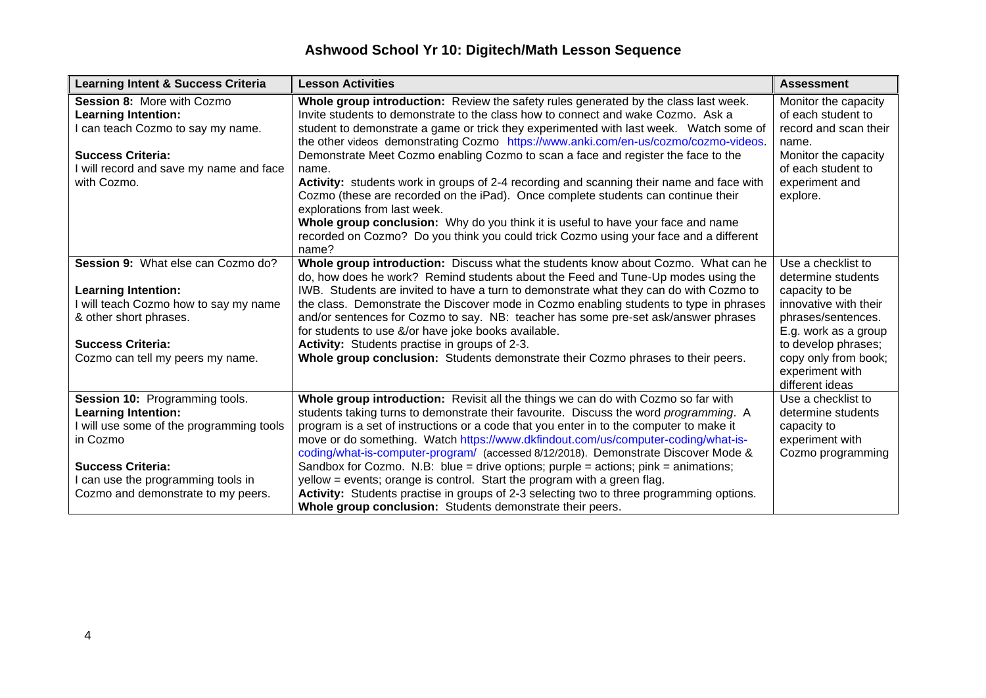| <b>Learning Intent &amp; Success Criteria</b>                                                                                                                                                                                | <b>Lesson Activities</b>                                                                                                                                                                                                                                                                                                                                                                                                                                                                                                                                                                                                                                                                                                                                                                                                                                      | <b>Assessment</b>                                                                                                                                                                                                      |
|------------------------------------------------------------------------------------------------------------------------------------------------------------------------------------------------------------------------------|---------------------------------------------------------------------------------------------------------------------------------------------------------------------------------------------------------------------------------------------------------------------------------------------------------------------------------------------------------------------------------------------------------------------------------------------------------------------------------------------------------------------------------------------------------------------------------------------------------------------------------------------------------------------------------------------------------------------------------------------------------------------------------------------------------------------------------------------------------------|------------------------------------------------------------------------------------------------------------------------------------------------------------------------------------------------------------------------|
| Session 8: More with Cozmo<br><b>Learning Intention:</b><br>I can teach Cozmo to say my name.<br><b>Success Criteria:</b><br>I will record and save my name and face<br>with Cozmo.                                          | Whole group introduction: Review the safety rules generated by the class last week.<br>Invite students to demonstrate to the class how to connect and wake Cozmo. Ask a<br>student to demonstrate a game or trick they experimented with last week. Watch some of<br>the other videos demonstrating Cozmo https://www.anki.com/en-us/cozmo/cozmo-videos.<br>Demonstrate Meet Cozmo enabling Cozmo to scan a face and register the face to the<br>name.<br>Activity: students work in groups of 2-4 recording and scanning their name and face with<br>Cozmo (these are recorded on the iPad). Once complete students can continue their<br>explorations from last week.<br>Whole group conclusion: Why do you think it is useful to have your face and name<br>recorded on Cozmo? Do you think you could trick Cozmo using your face and a different<br>name? | Monitor the capacity<br>of each student to<br>record and scan their<br>name.<br>Monitor the capacity<br>of each student to<br>experiment and<br>explore.                                                               |
| Session 9: What else can Cozmo do?<br><b>Learning Intention:</b><br>I will teach Cozmo how to say my name<br>& other short phrases.<br><b>Success Criteria:</b><br>Cozmo can tell my peers my name.                          | Whole group introduction: Discuss what the students know about Cozmo. What can he<br>do, how does he work? Remind students about the Feed and Tune-Up modes using the<br>IWB. Students are invited to have a turn to demonstrate what they can do with Cozmo to<br>the class. Demonstrate the Discover mode in Cozmo enabling students to type in phrases<br>and/or sentences for Cozmo to say. NB: teacher has some pre-set ask/answer phrases<br>for students to use &/or have joke books available.<br>Activity: Students practise in groups of 2-3.<br>Whole group conclusion: Students demonstrate their Cozmo phrases to their peers.                                                                                                                                                                                                                   | Use a checklist to<br>determine students<br>capacity to be<br>innovative with their<br>phrases/sentences.<br>E.g. work as a group<br>to develop phrases;<br>copy only from book;<br>experiment with<br>different ideas |
| Session 10: Programming tools.<br><b>Learning Intention:</b><br>I will use some of the programming tools<br>in Cozmo<br><b>Success Criteria:</b><br>I can use the programming tools in<br>Cozmo and demonstrate to my peers. | Whole group introduction: Revisit all the things we can do with Cozmo so far with<br>students taking turns to demonstrate their favourite. Discuss the word programming. A<br>program is a set of instructions or a code that you enter in to the computer to make it<br>move or do something. Watch https://www.dkfindout.com/us/computer-coding/what-is-<br>coding/what-is-computer-program/ (accessed 8/12/2018). Demonstrate Discover Mode &<br>Sandbox for Cozmo. N.B: blue = drive options; purple = actions; $pink = animations$ ;<br>yellow = events; orange is control. Start the program with a green flag.<br>Activity: Students practise in groups of 2-3 selecting two to three programming options.<br>Whole group conclusion: Students demonstrate their peers.                                                                                | Use a checklist to<br>determine students<br>capacity to<br>experiment with<br>Cozmo programming                                                                                                                        |